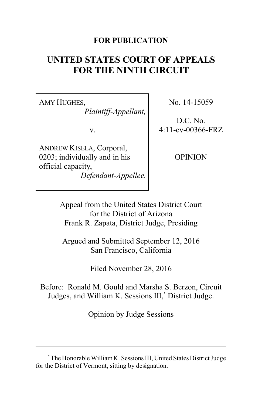## **FOR PUBLICATION**

# **UNITED STATES COURT OF APPEALS FOR THE NINTH CIRCUIT**

AMY HUGHES, *Plaintiff-Appellant,*

v.

ANDREW KISELA, Corporal, 0203; individually and in his official capacity, *Defendant-Appellee.* No. 14-15059

D.C. No. 4:11-cv-00366-FRZ

OPINION

Appeal from the United States District Court for the District of Arizona Frank R. Zapata, District Judge, Presiding

Argued and Submitted September 12, 2016 San Francisco, California

Filed November 28, 2016

Before: Ronald M. Gould and Marsha S. Berzon, Circuit Judges, and William K. Sessions III, **\*** District Judge.

Opinion by Judge Sessions

**<sup>\*</sup>** The Honorable WilliamK. Sessions III, United States District Judge for the District of Vermont, sitting by designation.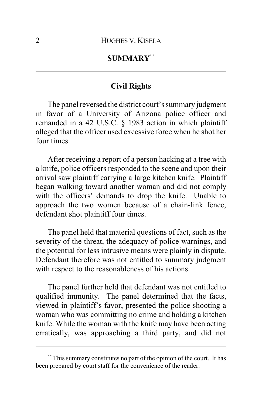## **SUMMARY\*\***

## **Civil Rights**

The panel reversed the district court's summary judgment in favor of a University of Arizona police officer and remanded in a 42 U.S.C. § 1983 action in which plaintiff alleged that the officer used excessive force when he shot her four times.

After receiving a report of a person hacking at a tree with a knife, police officers responded to the scene and upon their arrival saw plaintiff carrying a large kitchen knife. Plaintiff began walking toward another woman and did not comply with the officers' demands to drop the knife. Unable to approach the two women because of a chain-link fence, defendant shot plaintiff four times.

The panel held that material questions of fact, such as the severity of the threat, the adequacy of police warnings, and the potential for less intrusive means were plainly in dispute. Defendant therefore was not entitled to summary judgment with respect to the reasonableness of his actions.

The panel further held that defendant was not entitled to qualified immunity. The panel determined that the facts, viewed in plaintiff's favor, presented the police shooting a woman who was committing no crime and holding a kitchen knife. While the woman with the knife may have been acting erratically, was approaching a third party, and did not

**<sup>\*\*</sup>** This summary constitutes no part of the opinion of the court. It has been prepared by court staff for the convenience of the reader.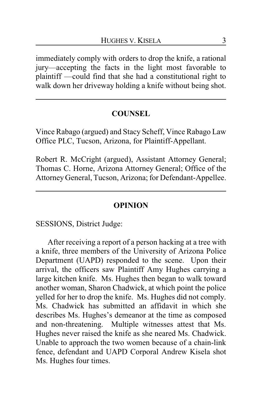immediately comply with orders to drop the knife, a rational jury—accepting the facts in the light most favorable to plaintiff —could find that she had a constitutional right to walk down her driveway holding a knife without being shot.

## **COUNSEL**

Vince Rabago (argued) and Stacy Scheff, Vince Rabago Law Office PLC, Tucson, Arizona, for Plaintiff-Appellant.

Robert R. McCright (argued), Assistant Attorney General; Thomas C. Horne, Arizona Attorney General; Office of the Attorney General, Tucson, Arizona; for Defendant-Appellee.

## **OPINION**

SESSIONS, District Judge:

After receiving a report of a person hacking at a tree with a knife, three members of the University of Arizona Police Department (UAPD) responded to the scene. Upon their arrival, the officers saw Plaintiff Amy Hughes carrying a large kitchen knife. Ms. Hughes then began to walk toward another woman, Sharon Chadwick, at which point the police yelled for her to drop the knife. Ms. Hughes did not comply. Ms. Chadwick has submitted an affidavit in which she describes Ms. Hughes's demeanor at the time as composed and non-threatening. Multiple witnesses attest that Ms. Hughes never raised the knife as she neared Ms. Chadwick. Unable to approach the two women because of a chain-link fence, defendant and UAPD Corporal Andrew Kisela shot Ms. Hughes four times.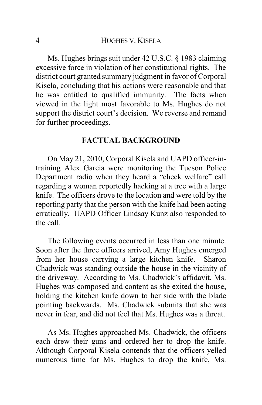Ms. Hughes brings suit under 42 U.S.C. § 1983 claiming excessive force in violation of her constitutional rights. The district court granted summary judgment in favor of Corporal Kisela, concluding that his actions were reasonable and that he was entitled to qualified immunity. The facts when viewed in the light most favorable to Ms. Hughes do not support the district court's decision. We reverse and remand for further proceedings.

#### **FACTUAL BACKGROUND**

On May 21, 2010, Corporal Kisela and UAPD officer-intraining Alex Garcia were monitoring the Tucson Police Department radio when they heard a "check welfare" call regarding a woman reportedly hacking at a tree with a large knife. The officers drove to the location and were told by the reporting party that the person with the knife had been acting erratically. UAPD Officer Lindsay Kunz also responded to the call.

The following events occurred in less than one minute. Soon after the three officers arrived, Amy Hughes emerged from her house carrying a large kitchen knife. Sharon Chadwick was standing outside the house in the vicinity of the driveway. According to Ms. Chadwick's affidavit, Ms. Hughes was composed and content as she exited the house, holding the kitchen knife down to her side with the blade pointing backwards. Ms. Chadwick submits that she was never in fear, and did not feel that Ms. Hughes was a threat.

As Ms. Hughes approached Ms. Chadwick, the officers each drew their guns and ordered her to drop the knife. Although Corporal Kisela contends that the officers yelled numerous time for Ms. Hughes to drop the knife, Ms.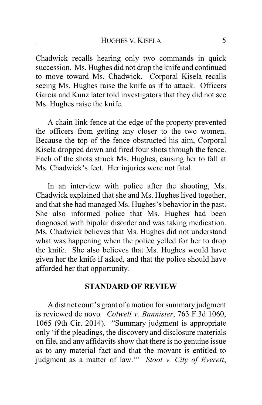Chadwick recalls hearing only two commands in quick succession. Ms. Hughes did not drop the knife and continued to move toward Ms. Chadwick. Corporal Kisela recalls seeing Ms. Hughes raise the knife as if to attack. Officers Garcia and Kunz later told investigators that they did not see Ms. Hughes raise the knife.

A chain link fence at the edge of the property prevented the officers from getting any closer to the two women. Because the top of the fence obstructed his aim, Corporal Kisela dropped down and fired four shots through the fence. Each of the shots struck Ms. Hughes, causing her to fall at Ms. Chadwick's feet. Her injuries were not fatal.

In an interview with police after the shooting, Ms. Chadwick explained that she and Ms. Hughes lived together, and that she had managed Ms. Hughes's behavior in the past. She also informed police that Ms. Hughes had been diagnosed with bipolar disorder and was taking medication. Ms. Chadwick believes that Ms. Hughes did not understand what was happening when the police yelled for her to drop the knife. She also believes that Ms. Hughes would have given her the knife if asked, and that the police should have afforded her that opportunity.

#### **STANDARD OF REVIEW**

A district court's grant of a motion for summary judgment is reviewed de novo*. Colwell v. Bannister*, 763 F.3d 1060, 1065 (9th Cir. 2014). "Summary judgment is appropriate only 'if the pleadings, the discovery and disclosure materials on file, and any affidavits show that there is no genuine issue as to any material fact and that the movant is entitled to judgment as a matter of law.'" *Stoot v. City of Everett*,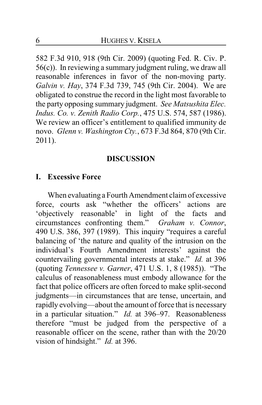582 F.3d 910, 918 (9th Cir. 2009) (quoting Fed. R. Civ. P. 56(c)). In reviewing a summary judgment ruling, we draw all reasonable inferences in favor of the non-moving party. *Galvin v. Hay*, 374 F.3d 739, 745 (9th Cir. 2004). We are obligated to construe the record in the light most favorable to the party opposing summary judgment. *See Matsushita Elec. Indus. Co. v. Zenith Radio Corp.*, 475 U.S. 574, 587 (1986). We review an officer's entitlement to qualified immunity de novo. *Glenn v. Washington Cty.*, 673 F.3d 864, 870 (9th Cir. 2011).

### **DISCUSSION**

### **I. Excessive Force**

When evaluating a Fourth Amendment claim of excessive force, courts ask "whether the officers' actions are 'objectively reasonable' in light of the facts and circumstances confronting them." *Graham v. Connor*, 490 U.S. 386, 397 (1989). This inquiry "requires a careful balancing of 'the nature and quality of the intrusion on the individual's Fourth Amendment interests' against the countervailing governmental interests at stake." *Id.* at 396 (quoting *Tennessee v. Garner*, 471 U.S. 1, 8 (1985)). "The calculus of reasonableness must embody allowance for the fact that police officers are often forced to make split-second judgments—in circumstances that are tense, uncertain, and rapidly evolving—about the amount of force that is necessary in a particular situation." *Id.* at 396–97. Reasonableness therefore "must be judged from the perspective of a reasonable officer on the scene, rather than with the 20/20 vision of hindsight." *Id.* at 396.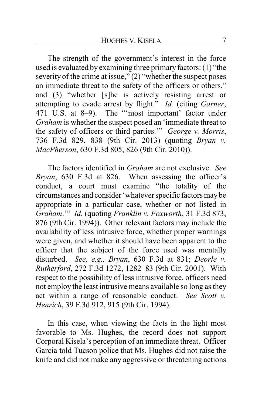The strength of the government's interest in the force used is evaluated by examining three primary factors: (1) "the severity of the crime at issue,"  $(2)$  "whether the suspect poses an immediate threat to the safety of the officers or others," and (3) "whether [s]he is actively resisting arrest or attempting to evade arrest by flight." *Id.* (citing *Garner*, 471 U.S. at 8–9). The "'most important' factor under *Graham* is whether the suspect posed an 'immediate threat to the safety of officers or third parties.'" *George v. Morris*, 736 F.3d 829, 838 (9th Cir. 2013) (quoting *Bryan v. MacPherson*, 630 F.3d 805, 826 (9th Cir. 2010)).

The factors identified in *Graham* are not exclusive. *See Bryan*, 630 F.3d at 826. When assessing the officer's conduct, a court must examine "the totality of the circumstances and consider 'whatever specific factors may be appropriate in a particular case, whether or not listed in *Graham*.'" *Id.* (quoting *Franklin v. Foxworth*, 31 F.3d 873, 876 (9th Cir. 1994)). Other relevant factors may include the availability of less intrusive force, whether proper warnings were given, and whether it should have been apparent to the officer that the subject of the force used was mentally disturbed. *See, e.g., Bryan*, 630 F.3d at 831; *Deorle v. Rutherford*, 272 F.3d 1272, 1282–83 (9th Cir. 2001). With respect to the possibility of less intrusive force, officers need not employ the least intrusive means available so long as they act within a range of reasonable conduct. *See Scott v. Henrich*, 39 F.3d 912, 915 (9th Cir. 1994).

In this case, when viewing the facts in the light most favorable to Ms. Hughes, the record does not support Corporal Kisela's perception of an immediate threat. Officer Garcia told Tucson police that Ms. Hughes did not raise the knife and did not make any aggressive or threatening actions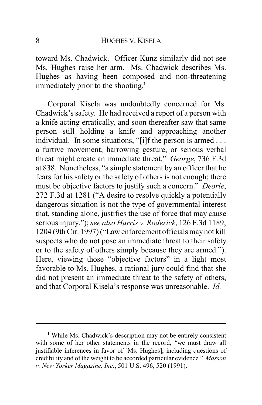toward Ms. Chadwick. Officer Kunz similarly did not see Ms. Hughes raise her arm. Ms. Chadwick describes Ms. Hughes as having been composed and non-threatening immediately prior to the shooting. **1**

Corporal Kisela was undoubtedly concerned for Ms. Chadwick's safety. He had received a report of a person with a knife acting erratically, and soon thereafter saw that same person still holding a knife and approaching another individual. In some situations, "[i]f the person is armed . . . a furtive movement, harrowing gesture, or serious verbal threat might create an immediate threat." *George*, 736 F.3d at 838. Nonetheless, "a simple statement by an officer that he fears for his safety or the safety of others is not enough; there must be objective factors to justify such a concern." *Deorle*, 272 F.3d at 1281 ("A desire to resolve quickly a potentially dangerous situation is not the type of governmental interest that, standing alone, justifies the use of force that may cause serious injury."); *see also Harris v. Roderick*, 126 F.3d 1189, 1204 (9th Cir. 1997) ("Law enforcement officials may not kill suspects who do not pose an immediate threat to their safety or to the safety of others simply because they are armed."). Here, viewing those "objective factors" in a light most favorable to Ms. Hughes, a rational jury could find that she did not present an immediate threat to the safety of others, and that Corporal Kisela's response was unreasonable. *Id.*

**<sup>1</sup>** While Ms. Chadwick's description may not be entirely consistent with some of her other statements in the record, "we must draw all justifiable inferences in favor of [Ms. Hughes], including questions of credibility and of the weight to be accorded particular evidence." *Masson v. New Yorker Magazine, Inc*., 501 U.S. 496, 520 (1991).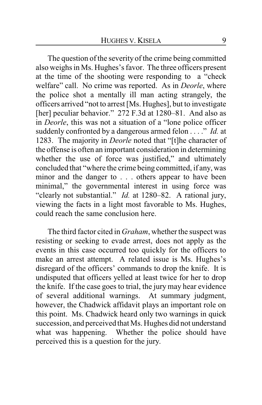The question of the severity of the crime being committed also weighs in Ms. Hughes's favor. The three officers present at the time of the shooting were responding to a "check welfare" call. No crime was reported. As in *Deorle*, where the police shot a mentally ill man acting strangely, the officers arrived "not to arrest [Ms. Hughes], but to investigate [her] peculiar behavior." 272 F.3d at 1280–81. And also as in *Deorle*, this was not a situation of a "lone police officer suddenly confronted by a dangerous armed felon . . . ." *Id.* at 1283. The majority in *Deorle* noted that "[t]he character of the offense is often an important consideration in determining whether the use of force was justified," and ultimately concluded that "where the crime being committed, if any, was minor and the danger to . . . others appear to have been minimal," the governmental interest in using force was "clearly not substantial." *Id.* at 1280–82. A rational jury, viewing the facts in a light most favorable to Ms. Hughes, could reach the same conclusion here.

The third factor cited in *Graham*, whether the suspect was resisting or seeking to evade arrest, does not apply as the events in this case occurred too quickly for the officers to make an arrest attempt. A related issue is Ms. Hughes's disregard of the officers' commands to drop the knife. It is undisputed that officers yelled at least twice for her to drop the knife. If the case goes to trial, the jury may hear evidence of several additional warnings. At summary judgment, however, the Chadwick affidavit plays an important role on this point. Ms. Chadwick heard only two warnings in quick succession, and perceived that Ms. Hughes did not understand what was happening. Whether the police should have perceived this is a question for the jury.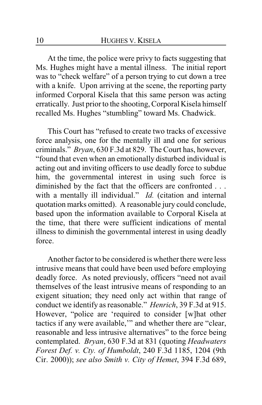At the time, the police were privy to facts suggesting that Ms. Hughes might have a mental illness. The initial report was to "check welfare" of a person trying to cut down a tree with a knife. Upon arriving at the scene, the reporting party informed Corporal Kisela that this same person was acting erratically. Just prior to the shooting, Corporal Kisela himself recalled Ms. Hughes "stumbling" toward Ms. Chadwick.

This Court has "refused to create two tracks of excessive force analysis, one for the mentally ill and one for serious criminals." *Bryan*, 630 F.3d at 829. The Court has, however, "found that even when an emotionally disturbed individual is acting out and inviting officers to use deadly force to subdue him, the governmental interest in using such force is diminished by the fact that the officers are confronted . . . with a mentally ill individual." *Id.* (citation and internal quotation marks omitted). A reasonable jury could conclude, based upon the information available to Corporal Kisela at the time, that there were sufficient indications of mental illness to diminish the governmental interest in using deadly force.

Another factor to be considered is whether there were less intrusive means that could have been used before employing deadly force. As noted previously, officers "need not avail themselves of the least intrusive means of responding to an exigent situation; they need only act within that range of conduct we identify as reasonable." *Henrich*, 39 F.3d at 915. However, "police are 'required to consider [w]hat other tactics if any were available,'" and whether there are "clear, reasonable and less intrusive alternatives" to the force being contemplated. *Bryan*, 630 F.3d at 831 (quoting *Headwaters Forest Def. v. Cty. of Humboldt*, 240 F.3d 1185, 1204 (9th Cir. 2000)); *see also Smith v. City of Hemet*, 394 F.3d 689,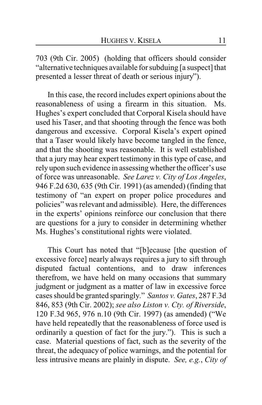703 (9th Cir. 2005) (holding that officers should consider "alternative techniques available for subduing [a suspect] that presented a lesser threat of death or serious injury").

In this case, the record includes expert opinions about the reasonableness of using a firearm in this situation. Ms. Hughes's expert concluded that Corporal Kisela should have used his Taser, and that shooting through the fence was both dangerous and excessive. Corporal Kisela's expert opined that a Taser would likely have become tangled in the fence, and that the shooting was reasonable. It is well established that a jury may hear expert testimony in this type of case, and rely upon such evidence in assessing whether the officer's use of force was unreasonable. *See Larez v. City of Los Angeles*, 946 F.2d 630, 635 (9th Cir. 1991) (as amended) (finding that testimony of "an expert on proper police procedures and policies" was relevant and admissible). Here, the differences in the experts' opinions reinforce our conclusion that there are questions for a jury to consider in determining whether Ms. Hughes's constitutional rights were violated.

This Court has noted that "[b]ecause [the question of excessive force] nearly always requires a jury to sift through disputed factual contentions, and to draw inferences therefrom, we have held on many occasions that summary judgment or judgment as a matter of law in excessive force cases should be granted sparingly." *Santos v. Gates*, 287 F.3d 846, 853 (9th Cir. 2002); *see also Liston v. Cty. of Riverside*, 120 F.3d 965, 976 n.10 (9th Cir. 1997) (as amended) ("We have held repeatedly that the reasonableness of force used is ordinarily a question of fact for the jury."). This is such a case. Material questions of fact, such as the severity of the threat, the adequacy of police warnings, and the potential for less intrusive means are plainly in dispute. *See, e.g.*, *City of*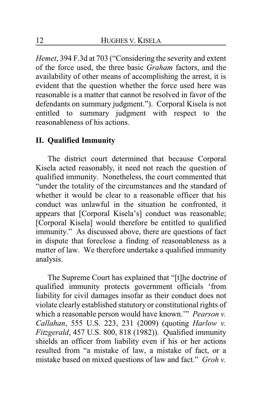*Hemet*, 394 F.3d at 703 ("Considering the severity and extent of the force used, the three basic *Graham* factors, and the availability of other means of accomplishing the arrest, it is evident that the question whether the force used here was reasonable is a matter that cannot be resolved in favor of the defendants on summary judgment."). Corporal Kisela is not entitled to summary judgment with respect to the reasonableness of his actions.

## **II. Qualified Immunity**

The district court determined that because Corporal Kisela acted reasonably, it need not reach the question of qualified immunity. Nonetheless, the court commented that "under the totality of the circumstances and the standard of whether it would be clear to a reasonable officer that his conduct was unlawful in the situation he confronted, it appears that [Corporal Kisela's] conduct was reasonable; [Corporal Kisela] would therefore be entitled to qualified immunity." As discussed above, there are questions of fact in dispute that foreclose a finding of reasonableness as a matter of law. We therefore undertake a qualified immunity analysis.

The Supreme Court has explained that "[t]he doctrine of qualified immunity protects government officials 'from liability for civil damages insofar as their conduct does not violate clearly established statutory or constitutional rights of which a reasonable person would have known.'" *Pearson v. Callahan*, 555 U.S. 223, 231 (2009) (quoting *Harlow v. Fitzgerald*, 457 U.S. 800, 818 (1982)). Qualified immunity shields an officer from liability even if his or her actions resulted from "a mistake of law, a mistake of fact, or a mistake based on mixed questions of law and fact." *Groh v.*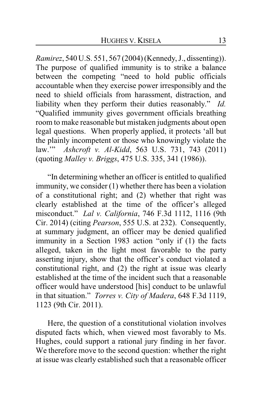*Ramirez*, 540 U.S. 551, 567 (2004) (Kennedy, J., dissenting)). The purpose of qualified immunity is to strike a balance between the competing "need to hold public officials accountable when they exercise power irresponsibly and the need to shield officials from harassment, distraction, and liability when they perform their duties reasonably." *Id.* "Qualified immunity gives government officials breathing room to make reasonable but mistaken judgments about open legal questions. When properly applied, it protects 'all but the plainly incompetent or those who knowingly violate the law.'" *Ashcroft v. Al-Kidd*, 563 U.S. 731, 743 (2011) (quoting *Malley v. Briggs*, 475 U.S. 335, 341 (1986)).

"In determining whether an officer is entitled to qualified immunity, we consider (1) whether there has been a violation of a constitutional right; and (2) whether that right was clearly established at the time of the officer's alleged misconduct." *Lal v. California*, 746 F.3d 1112, 1116 (9th Cir. 2014) (citing *Pearson*, 555 U.S. at 232). Consequently, at summary judgment, an officer may be denied qualified immunity in a Section 1983 action "only if (1) the facts alleged, taken in the light most favorable to the party asserting injury, show that the officer's conduct violated a constitutional right, and (2) the right at issue was clearly established at the time of the incident such that a reasonable officer would have understood [his] conduct to be unlawful in that situation." *Torres v. City of Madera*, 648 F.3d 1119, 1123 (9th Cir. 2011).

Here, the question of a constitutional violation involves disputed facts which, when viewed most favorably to Ms. Hughes, could support a rational jury finding in her favor. We therefore move to the second question: whether the right at issue was clearly established such that a reasonable officer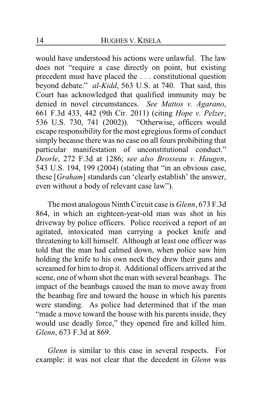would have understood his actions were unlawful. The law does not "require a case directly on point, but existing precedent must have placed the . . . constitutional question beyond debate." *al-Kidd*, 563 U.S. at 740. That said, this Court has acknowledged that qualified immunity may be denied in novel circumstances. *See Mattos v. Agarano*, 661 F.3d 433, 442 (9th Cir. 2011) (citing *Hope v. Pelzer*, 536 U.S. 730, 741 (2002)). "Otherwise, officers would escape responsibility for the most egregious forms of conduct simply because there was no case on all fours prohibiting that particular manifestation of unconstitutional conduct." *Deorle*, 272 F.3d at 1286; *see also Brosseau v. Haugen*, 543 U.S. 194, 199 (2004) (stating that "in an obvious case, these [*Graham*] standards can 'clearly establish' the answer, even without a body of relevant case law").

The most analogous Ninth Circuit case is *Glenn*, 673 F.3d 864, in which an eighteen-year-old man was shot in his driveway by police officers. Police received a report of an agitated, intoxicated man carrying a pocket knife and threatening to kill himself. Although at least one officer was told that the man had calmed down, when police saw him holding the knife to his own neck they drew their guns and screamed for him to drop it. Additional officers arrived at the scene, one of whom shot the man with several beanbags. The impact of the beanbags caused the man to move away from the beanbag fire and toward the house in which his parents were standing. As police had determined that if the man "made a move toward the house with his parents inside, they would use deadly force," they opened fire and killed him. *Glenn*, 673 F.3d at 869.

*Glenn* is similar to this case in several respects. For example: it was not clear that the decedent in *Glenn* was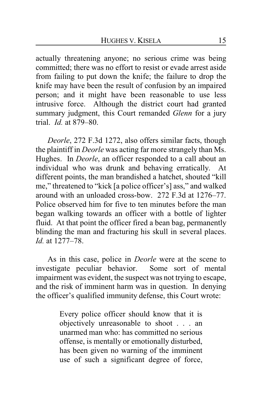actually threatening anyone; no serious crime was being committed; there was no effort to resist or evade arrest aside from failing to put down the knife; the failure to drop the knife may have been the result of confusion by an impaired person; and it might have been reasonable to use less intrusive force. Although the district court had granted summary judgment, this Court remanded *Glenn* for a jury trial. *Id.* at 879–80.

*Deorle*, 272 F.3d 1272, also offers similar facts, though the plaintiff in *Deorle* was acting far more strangely than Ms. Hughes. In *Deorle*, an officer responded to a call about an individual who was drunk and behaving erratically. At different points, the man brandished a hatchet, shouted "kill me," threatened to "kick [a police officer's] ass," and walked around with an unloaded cross-bow. 272 F.3d at 1276–77. Police observed him for five to ten minutes before the man began walking towards an officer with a bottle of lighter fluid. At that point the officer fired a bean bag, permanently blinding the man and fracturing his skull in several places. *Id.* at 1277–78.

As in this case, police in *Deorle* were at the scene to investigate peculiar behavior. Some sort of mental impairment was evident, the suspect was not trying to escape, and the risk of imminent harm was in question. In denying the officer's qualified immunity defense, this Court wrote:

> Every police officer should know that it is objectively unreasonable to shoot . . . an unarmed man who: has committed no serious offense, is mentally or emotionally disturbed, has been given no warning of the imminent use of such a significant degree of force,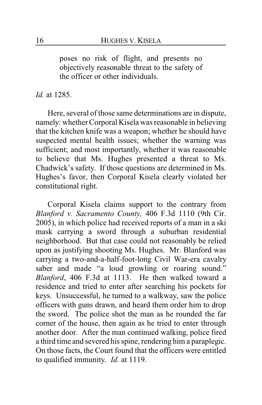poses no risk of flight, and presents no objectively reasonable threat to the safety of the officer or other individuals.

#### *Id.* at 1285.

Here, several of those same determinations are in dispute, namely: whether Corporal Kisela was reasonable in believing that the kitchen knife was a weapon; whether he should have suspected mental health issues; whether the warning was sufficient; and most importantly, whether it was reasonable to believe that Ms. Hughes presented a threat to Ms. Chadwick's safety. If those questions are determined in Ms. Hughes's favor, then Corporal Kisela clearly violated her constitutional right.

Corporal Kisela claims support to the contrary from *Blanford v. Sacramento County,* 406 F.3d 1110 (9th Cir. 2005), in which police had received reports of a man in a ski mask carrying a sword through a suburban residential neighborhood. But that case could not reasonably be relied upon as justifying shooting Ms. Hughes. Mr. Blanford was carrying a two-and-a-half-foot-long Civil War-era cavalry saber and made "a loud growling or roaring sound." *Blanford*, 406 F.3d at 1113. He then walked toward a residence and tried to enter after searching his pockets for keys. Unsuccessful, he turned to a walkway, saw the police officers with guns drawn, and heard them order him to drop the sword. The police shot the man as he rounded the far corner of the house, then again as he tried to enter through another door. After the man continued walking, police fired a third time and severed his spine, rendering him a paraplegic. On those facts, the Court found that the officers were entitled to qualified immunity. *Id.* at 1119.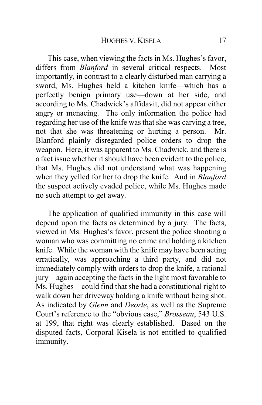This case, when viewing the facts in Ms. Hughes's favor, differs from *Blanford* in several critical respects. Most importantly, in contrast to a clearly disturbed man carrying a sword, Ms. Hughes held a kitchen knife—which has a perfectly benign primary use—down at her side, and according to Ms. Chadwick's affidavit, did not appear either angry or menacing. The only information the police had regarding her use of the knife was that she was carving a tree, not that she was threatening or hurting a person. Mr. Blanford plainly disregarded police orders to drop the weapon. Here, it was apparent to Ms. Chadwick, and there is a fact issue whether it should have been evident to the police, that Ms. Hughes did not understand what was happening when they yelled for her to drop the knife. And in *Blanford* the suspect actively evaded police, while Ms. Hughes made no such attempt to get away.

The application of qualified immunity in this case will depend upon the facts as determined by a jury. The facts, viewed in Ms. Hughes's favor, present the police shooting a woman who was committing no crime and holding a kitchen knife. While the woman with the knife may have been acting erratically, was approaching a third party, and did not immediately comply with orders to drop the knife, a rational jury—again accepting the facts in the light most favorable to Ms. Hughes—could find that she had a constitutional right to walk down her driveway holding a knife without being shot. As indicated by *Glenn* and *Deorle*, as well as the Supreme Court's reference to the "obvious case," *Brosseau*, 543 U.S. at 199, that right was clearly established. Based on the disputed facts, Corporal Kisela is not entitled to qualified immunity.